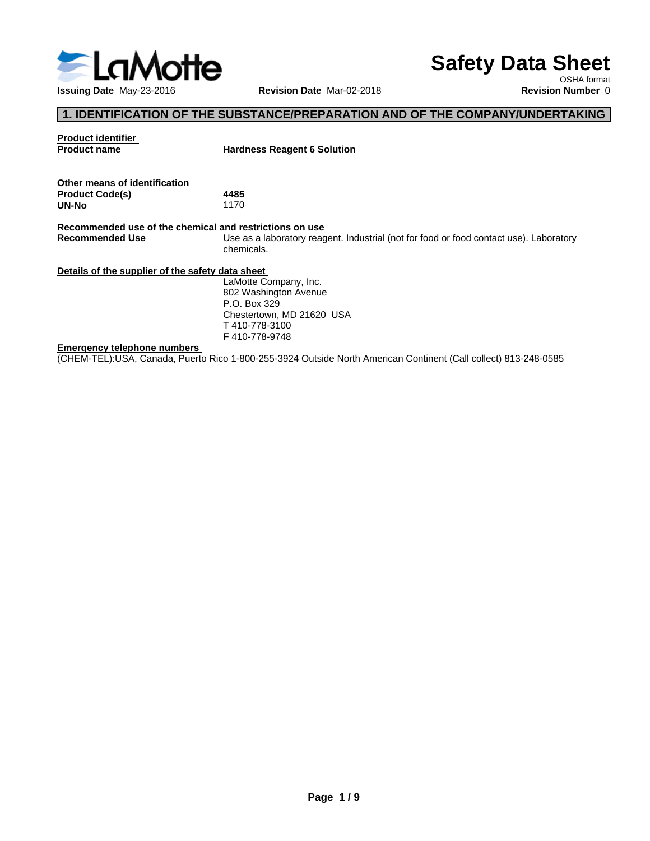

# **Safety Data Sheet**

OSHA format

# **1. IDENTIFICATION OF THE SUBSTANCE/PREPARATION AND OF THE COMPANY/UNDERTAKING**

| <b>Product identifier</b>                               |                                                                                                                 |
|---------------------------------------------------------|-----------------------------------------------------------------------------------------------------------------|
| <b>Product name</b>                                     | <b>Hardness Reagent 6 Solution</b>                                                                              |
|                                                         |                                                                                                                 |
| Other means of identification                           |                                                                                                                 |
| <b>Product Code(s)</b>                                  | 4485                                                                                                            |
| UN-No                                                   | 1170                                                                                                            |
|                                                         |                                                                                                                 |
| Recommended use of the chemical and restrictions on use |                                                                                                                 |
| <b>Recommended Use</b>                                  | Use as a laboratory reagent. Industrial (not for food or food contact use). Laboratory                          |
|                                                         | chemicals.                                                                                                      |
| Details of the supplier of the safety data sheet        |                                                                                                                 |
|                                                         | LaMotte Company, Inc.                                                                                           |
|                                                         | 802 Washington Avenue                                                                                           |
|                                                         | P.O. Box 329                                                                                                    |
|                                                         | Chestertown, MD 21620 USA                                                                                       |
|                                                         | T410-778-3100                                                                                                   |
|                                                         | F410-778-9748                                                                                                   |
| <b>Emergency telephone numbers</b>                      |                                                                                                                 |
|                                                         | (CHEM-TEL):USA, Canada, Puerto Rico 1-800-255-3924 Outside North American Continent (Call collect) 813-248-0585 |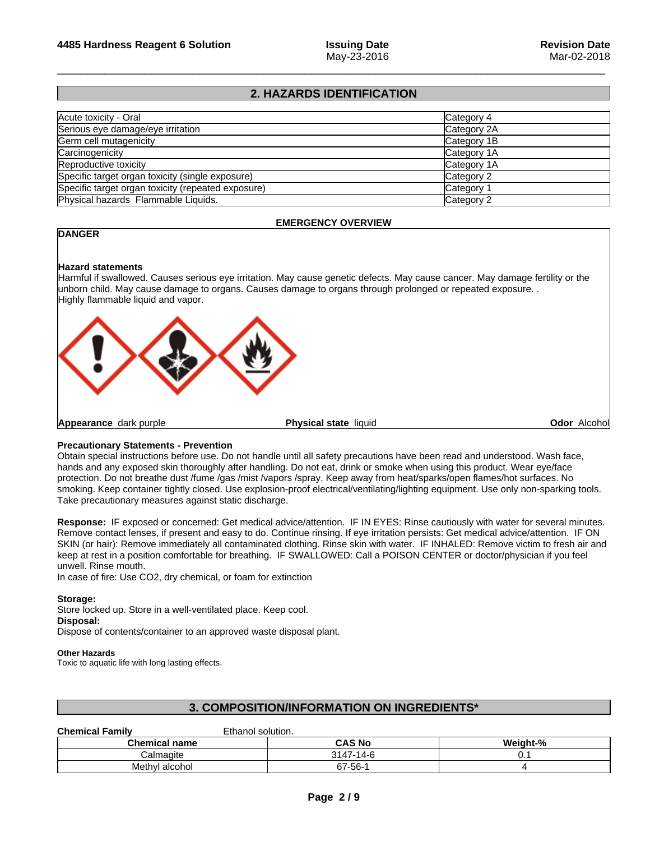# **2. HAZARDS IDENTIFICATION**

| Acute toxicity - Oral                              | Category 4            |
|----------------------------------------------------|-----------------------|
| Serious eye damage/eye irritation                  | Category 2A           |
| Germ cell mutagenicity                             | Category 1B           |
| Carcinogenicity                                    | Category 1A           |
| Reproductive toxicity                              | Category 1A           |
| Specific target organ toxicity (single exposure)   | Category 2            |
| Specific target organ toxicity (repeated exposure) | Category <sup>-</sup> |
| Physical hazards Flammable Liquids.                | Category 2            |

# **EMERGENCY OVERVIEW**

# **DANGER**

### **Hazard statements**

Harmful if swallowed. Causes serious eye irritation. May cause genetic defects. May cause cancer. May damage fertility or the unborn child. May cause damage to organs. Causes damage to organs through prolonged or repeated exposure. .<br>Highly flammable liquid and vapor.



# **Precautionary Statements - Prevention**

Obtain special instructions before use. Do not handle until all safety precautions have been read and understood. Wash face, hands and any exposed skin thoroughly after handling. Do not eat, drink or smoke when using this product. Wear eye/face protection. Do not breathe dust /fume /gas /mist /vapors /spray. Keep away from heat/sparks/open flames/hot surfaces. No smoking. Keep container tightly closed. Use explosion-proof electrical/ventilating/lighting equipment. Use only non-sparking tools. Take precautionary measures against static discharge.

**Response:** IF exposed orconcerned: Get medical advice/attention. IF IN EYES: Rinse cautiously with water for several minutes. Remove contact lenses, if present and easy to do. Continue rinsing. If eye irritation persists: Get medical advice/attention. IF ON SKIN (or hair): Remove immediately all contaminated clothing. Rinse skin with water. IF INHALED: Remove victim to fresh air and keep at rest in a position comfortable for breathing. IF SWALLOWED: Call a POISON CENTER or doctor/physician if you feel unwell. Rinse mouth.

In case of fire: Use CO2, dry chemical, or foam for extinction

# **Storage:**

Store locked up. Store in a well-ventilated place. Keep cool.

# **Disposal:**

Dispose of contents/container to an approved waste disposal plant.

# **Other Hazards**

Toxic to aquatic life with long lasting effects.

# **3. COMPOSITION/INFORMATION ON INGREDIENTS\***

# **Chemical Family** Ethanol solution.

|                      | ------------------    |                                    |
|----------------------|-----------------------|------------------------------------|
| <b>Chemical name</b> | <b>CAS No</b>         | <br>$\mathbf{a}$<br>Weiaht-%<br>7ο |
| ;almaɑite            | $\sqrt{2}$<br>3147.   | . v.,                              |
| Methyl alcohol       | 7-56-<br>$\sim$<br>о. |                                    |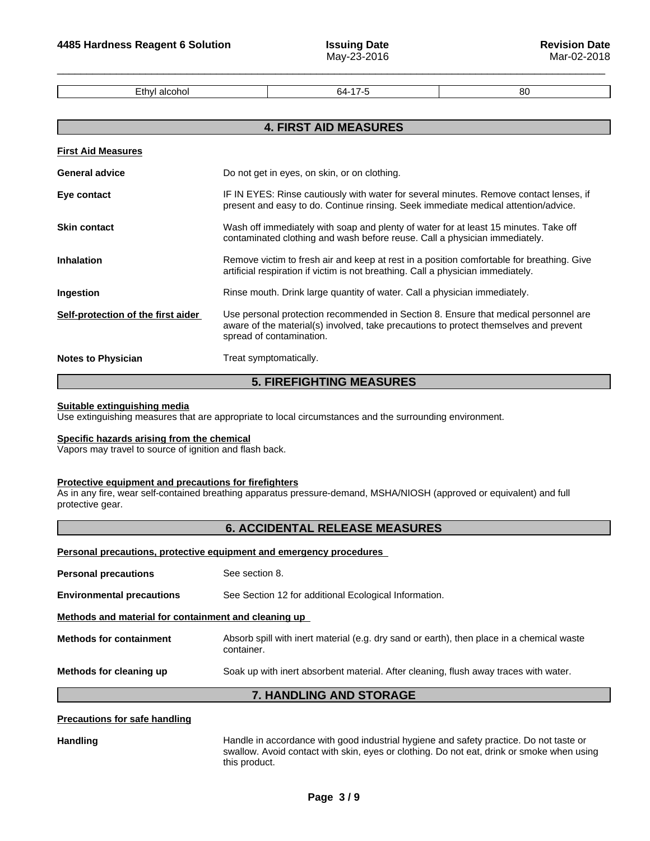Ethyl alcohol **Ethyl alcohol 64-17-5** 80

# **4. FIRST AID MEASURES First Aid Measures General advice Do not get in eyes, on skin, or on clothing. Eye contact IF IN EYES: Rinse cautiously with water for several minutes. Remove contact lenses, if** present and easy to do. Continue rinsing. Seek immediate medical attention/advice. **Skin contact** Wash off immediately with soap and plenty of water for at least 15 minutes. Take off contaminated clothing and wash before reuse. Call a physician immediately. **Inhalation** Remove victim to fresh air and keep at rest in a position comfortable for breathing. Give artificial respiration if victim is not breathing. Call a physician immediately. **Ingestion Rinse mouth. Drink large quantity of water. Call a physician immediately. Self-protection of the first aider** Use personal protection recommended in Section 8. Ensure that medical personnel are aware of the material(s) involved, take precautions to protect themselves and prevent spread of contamination. **Notes to Physician** Treat symptomatically.

# **5. FIREFIGHTING MEASURES**

#### **Suitable extinguishing media**

Use extinguishing measures that are appropriate to local circumstances and the surrounding environment.

#### **Specific hazards arising from the chemical**

Vapors may travel to source of ignition and flash back.

#### **Protective equipment and precautions for firefighters**

As in any fire, wear self-contained breathing apparatus pressure-demand, MSHA/NIOSH (approved or equivalent) and full protective gear.

# **6. ACCIDENTAL RELEASE MEASURES**

#### **Personal precautions, protective equipment and emergency procedures**

|                                                      | <b>7. HANDLING AND STORAGE</b>                                                                          |  |  |
|------------------------------------------------------|---------------------------------------------------------------------------------------------------------|--|--|
| Methods for cleaning up                              | Soak up with inert absorbent material. After cleaning, flush away traces with water.                    |  |  |
| <b>Methods for containment</b>                       | Absorb spill with inert material (e.g. dry sand or earth), then place in a chemical waste<br>container. |  |  |
| Methods and material for containment and cleaning up |                                                                                                         |  |  |
| <b>Environmental precautions</b>                     | See Section 12 for additional Ecological Information.                                                   |  |  |
| <b>Personal precautions</b>                          | See section 8.                                                                                          |  |  |
|                                                      |                                                                                                         |  |  |

#### **Precautions for safe handling**

Handling **Handle in accordance with good industrial hygiene and safety practice. Do not taste or** swallow. Avoid contact with skin, eyes or clothing. Do not eat, drink or smoke when using this product.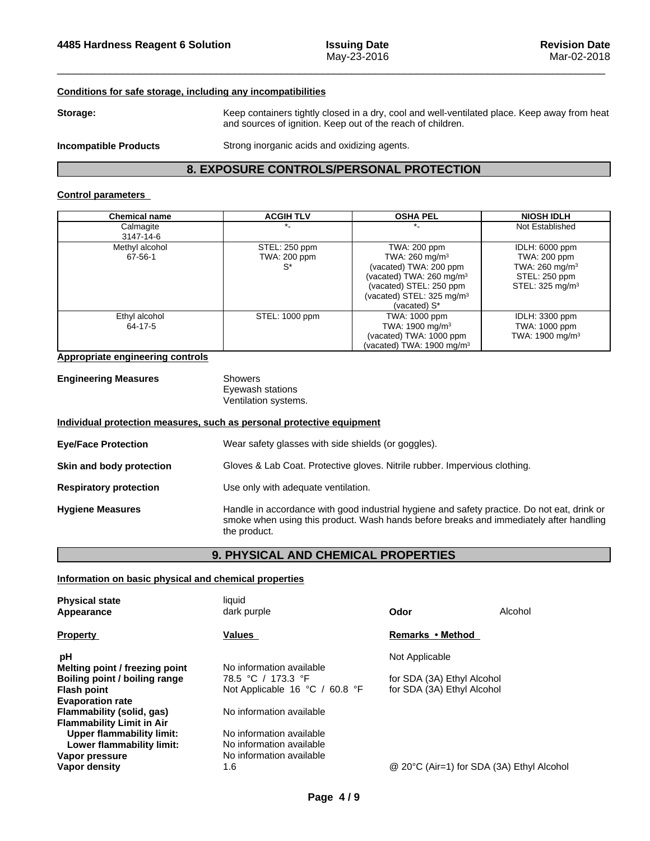# **Conditions for safe storage, including any incompatibilities**

Storage: **Storage:** Keep containers tightly closed in a dry, cool and well-ventilated place. Keep away from heat and sources of ignition. Keep out of the reach of children.

**Incompatible Products** Strong inorganic acids and oxidizing agents.

# **8. EXPOSURE CONTROLS/PERSONAL PROTECTION**

# **Control parameters**

| <b>Chemical name</b> | <b>ACGIH TLV</b> | <b>OSHA PEL</b>                       | <b>NIOSH IDLH</b>           |
|----------------------|------------------|---------------------------------------|-----------------------------|
| Calmagite            |                  |                                       | Not Established             |
| 3147-14-6            |                  |                                       |                             |
| Methyl alcohol       | STEL: 250 ppm    | TWA: 200 ppm                          | IDLH: 6000 ppm              |
| 67-56-1              | TWA: 200 ppm     | TWA: $260 \text{ mg/m}^3$             | TWA: 200 ppm                |
|                      | $S^*$            | (vacated) TWA: 200 ppm                | TWA: $260 \text{ mg/m}^3$   |
|                      |                  | (vacated) TWA: 260 mg/m <sup>3</sup>  | STEL: 250 ppm               |
|                      |                  | (vacated) STEL: 250 ppm               | STEL: $325 \text{ mg/m}^3$  |
|                      |                  | (vacated) STEL: $325 \text{ mg/m}^3$  |                             |
|                      |                  | (vacated) S*                          |                             |
| Ethyl alcohol        | STEL: 1000 ppm   | TWA: 1000 ppm                         | IDLH: 3300 ppm              |
| 64-17-5              |                  | TWA: 1900 mg/m <sup>3</sup>           | TWA: 1000 ppm               |
|                      |                  | (vacated) TWA: 1000 ppm               | TWA: 1900 mg/m <sup>3</sup> |
|                      |                  | (vacated) TWA: 1900 mg/m <sup>3</sup> |                             |

# **Appropriate engineering controls**

| <b>Engineering Measures</b> | Showers              |  |
|-----------------------------|----------------------|--|
|                             | Eyewash stations     |  |
|                             | Ventilation systems. |  |

#### **Individual protection measures, such as personal protective equipment**

| <b>Eye/Face Protection</b>    | Wear safety glasses with side shields (or goggles).                                                                                                                                                   |  |  |
|-------------------------------|-------------------------------------------------------------------------------------------------------------------------------------------------------------------------------------------------------|--|--|
| Skin and body protection      | Gloves & Lab Coat. Protective gloves. Nitrile rubber. Impervious clothing.                                                                                                                            |  |  |
| <b>Respiratory protection</b> | Use only with adequate ventilation.                                                                                                                                                                   |  |  |
| <b>Hygiene Measures</b>       | Handle in accordance with good industrial hygiene and safety practice. Do not eat, drink or<br>smoke when using this product. Wash hands before breaks and immediately after handling<br>the product. |  |  |

# **9. PHYSICAL AND CHEMICAL PROPERTIES**

### **Information on basic physical and chemical properties**

| <b>Physical state</b><br>Appearance | liquid<br>dark purple                              | Odor                                      | Alcohol |
|-------------------------------------|----------------------------------------------------|-------------------------------------------|---------|
| <b>Property</b>                     | <b>Values</b>                                      | Remarks • Method                          |         |
| рH                                  |                                                    | Not Applicable                            |         |
| Melting point / freezing point      | No information available                           |                                           |         |
| Boiling point / boiling range       | 78.5 °C / 173.3 °F                                 | for SDA (3A) Ethyl Alcohol                |         |
| <b>Flash point</b>                  | Not Applicable 16 $^{\circ}$ C / 60.8 $^{\circ}$ F | for SDA (3A) Ethyl Alcohol                |         |
| <b>Evaporation rate</b>             |                                                    |                                           |         |
| Flammability (solid, gas)           | No information available                           |                                           |         |
| <b>Flammability Limit in Air</b>    |                                                    |                                           |         |
| Upper flammability limit:           | No information available                           |                                           |         |
| Lower flammability limit:           | No information available                           |                                           |         |
| Vapor pressure                      | No information available                           |                                           |         |
| Vapor density                       | 1.6                                                | @ 20°C (Air=1) for SDA (3A) Ethyl Alcohol |         |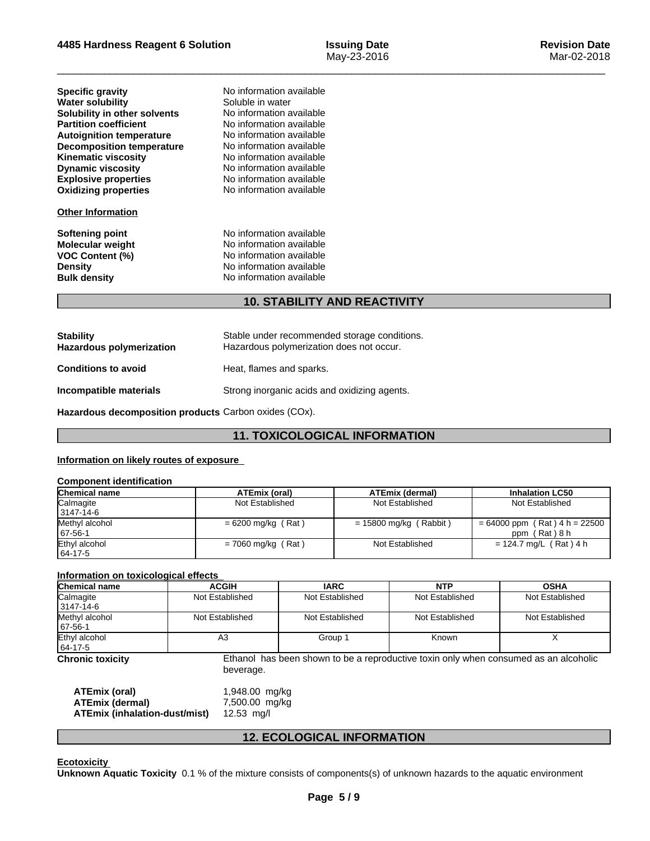# **4485 Hardness Reagent6 Solution Issuing Date**

 $\overline{\phantom{a}}$  ,  $\overline{\phantom{a}}$  ,  $\overline{\phantom{a}}$  ,  $\overline{\phantom{a}}$  ,  $\overline{\phantom{a}}$  ,  $\overline{\phantom{a}}$  ,  $\overline{\phantom{a}}$  ,  $\overline{\phantom{a}}$  ,  $\overline{\phantom{a}}$  ,  $\overline{\phantom{a}}$  ,  $\overline{\phantom{a}}$  ,  $\overline{\phantom{a}}$  ,  $\overline{\phantom{a}}$  ,  $\overline{\phantom{a}}$  ,  $\overline{\phantom{a}}$  ,  $\overline{\phantom{a}}$ 

| <b>Specific gravity</b>          |
|----------------------------------|
| <b>Water solubility</b>          |
| Solubility in other solvents     |
| <b>Partition coefficient</b>     |
| <b>Autoignition temperature</b>  |
| <b>Decomposition temperature</b> |
| <b>Kinematic viscosity</b>       |
| <b>Dynamic viscosity</b>         |
| <b>Explosive properties</b>      |
| <b>Oxidizing properties</b>      |

#### **Other Information**

**Explosive properties** No information available **Oxidizing properties** No information available **Specific gravity** No information available **Soluble in water Solubility in other solvents** No information available **No information available Autoignition temperature** No information available **No information available Kinematic viscosity** No information available **No information available** 

**Softening point**<br> **Molecular weight**<br> **Molecular weight**<br> **Molecular weight**<br> **Molecular weight Molecular weight** No information available<br> **VOC Content (%)** No information available **VOC Content (%)** No information available **Density** No information available **Bulk density** No information available

# **10. STABILITY AND REACTIVITY**

| <b>Stability</b><br><b>Hazardous polymerization</b> | Stable under recommended storage conditions.<br>Hazardous polymerization does not occur. |
|-----------------------------------------------------|------------------------------------------------------------------------------------------|
| <b>Conditions to avoid</b>                          | Heat, flames and sparks.                                                                 |
| Incompatible materials                              | Strong inorganic acids and oxidizing agents.                                             |

**Hazardous decomposition products** Carbon oxides (COx).

# **11. TOXICOLOGICAL INFORMATION**

# **Information on likely routes of exposure**

#### **Component identification Chemical name ATEmix (oral) ATEmix (dermal) Inhalation LC50 Calmagite**  3147-14-6 Not Established Not Established Not Established Not Established Methyl alcohol 67-56-1  $= 6200$  mg/kg (Rat )  $= 15800$  mg/kg (Rabbit )  $= 64000$  ppm (Rat ) 4 h = 22500 ppm ( Rat ) 8 h Ethyl alcohol 64-17-5  $= 7060$  mg/kg (Rat ) Not Established  $= 124.7$  mg/L (Rat ) 4 h

# **Information on toxicological effects**

| Chemical name                    | <b>ACGIH</b>    | <b>IARC</b>     | <b>NTP</b>      | <b>OSHA</b>     |
|----------------------------------|-----------------|-----------------|-----------------|-----------------|
| Calmagite<br>3147-14-6           | Not Established | Not Established | Not Established | Not Established |
| Methyl alcohol<br>$167 - 56 - 1$ | Not Established | Not Established | Not Established | Not Established |
| Ethyl alcohol<br>$ 64-17-5$      | A3              | Group 1         | Known           |                 |

**Chronic toxicity** Ethanol has been shown to be a reproductive toxin only when consumed as an alcoholic beverage.

| ATEmix (oral)                 | 1,948.00 mg/kg |
|-------------------------------|----------------|
| <b>ATEmix (dermal)</b>        | 7,500.00 mg/kg |
| ATEmix (inhalation-dust/mist) | 12.53 ma/l     |

# **12. ECOLOGICAL INFORMATION**

**Ecotoxicity** 

**Unknown Aquatic Toxicity** 0.1 % of the mixture consists of components(s) of unknown hazards to the aquatic environment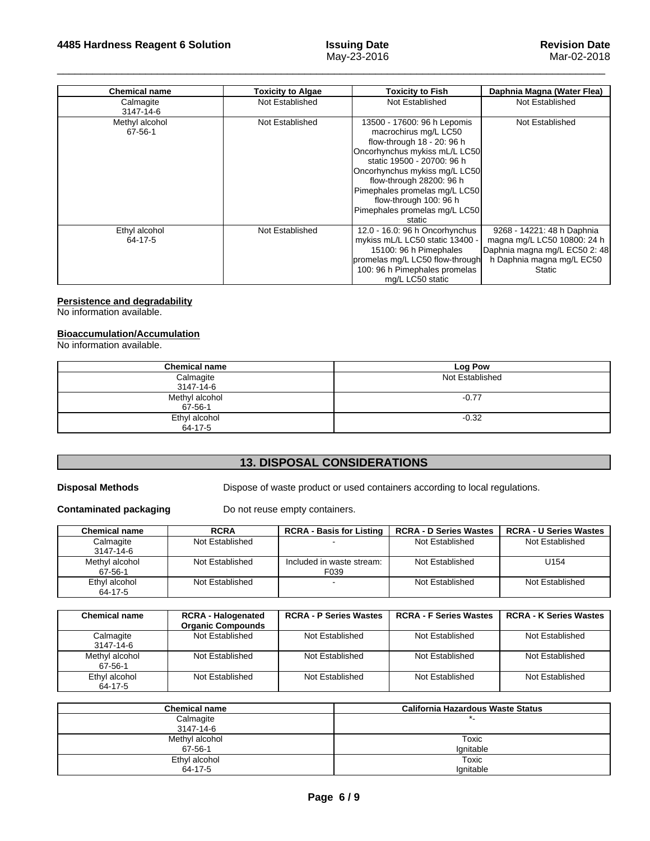| <b>Chemical name</b>      | <b>Toxicity to Algae</b> | <b>Toxicity to Fish</b>                                                                                                                                                                                                                                                                                              | Daphnia Magna (Water Flea)                                                                                                        |
|---------------------------|--------------------------|----------------------------------------------------------------------------------------------------------------------------------------------------------------------------------------------------------------------------------------------------------------------------------------------------------------------|-----------------------------------------------------------------------------------------------------------------------------------|
| Calmagite<br>3147-14-6    | Not Established          | Not Established                                                                                                                                                                                                                                                                                                      | Not Established                                                                                                                   |
| Methyl alcohol<br>67-56-1 | Not Established          | 13500 - 17600: 96 h Lepomis<br>macrochirus mg/L LC50<br>flow-through 18 - 20: 96 h<br>Oncorhynchus mykiss mL/L LC50<br>static 19500 - 20700: 96 h<br>Oncorhynchus mykiss mg/L LC50<br>flow-through 28200: 96 h<br>Pimephales promelas mg/L LC50<br>flow-through 100: 96 h<br>Pimephales promelas mg/L LC50<br>static | Not Established                                                                                                                   |
| Ethyl alcohol<br>64-17-5  | Not Established          | 12.0 - 16.0: 96 h Oncorhynchus<br>mykiss mL/L LC50 static 13400 -<br>15100: 96 h Pimephales<br>promelas mg/L LC50 flow-through<br>100: 96 h Pimephales promelas<br>mg/L LC50 static                                                                                                                                  | 9268 - 14221: 48 h Daphnia<br>magna mg/L LC50 10800: 24 h<br>Daphnia magna mg/L EC50 2: 48<br>h Daphnia magna mg/L EC50<br>Static |

# **Persistence and degradability**

No information available.

# **Bioaccumulation/Accumulation**

No information available.

| <b>Chemical name</b>            | Log Pow         |
|---------------------------------|-----------------|
| Calmagite<br>3147-14-6          | Not Established |
| Methyl alcohol<br>$67 - 56 - 1$ | $-0.77$         |
| Ethyl alcohol<br>64-17-5        | $-0.32$         |

# **13. DISPOSAL CONSIDERATIONS**

**Disposal Methods** Dispose of waste product or used containers according to local regulations.

**Contaminated packaging** Do not reuse empty containers.

| Chemical name             | <b>RCRA</b>     | <b>RCRA - Basis for Listing</b>   | <b>RCRA - D Series Wastes</b> | <b>RCRA - U Series Wastes</b> |
|---------------------------|-----------------|-----------------------------------|-------------------------------|-------------------------------|
| Calmagite<br>3147-14-6    | Not Established | -                                 | Not Established               | Not Established               |
| Methyl alcohol<br>67-56-1 | Not Established | Included in waste stream:<br>F039 | Not Established               | U154                          |
| Ethyl alcohol<br>64-17-5  | Not Established |                                   | Not Established               | Not Established               |

| <b>Chemical name</b>      | <b>RCRA - Halogenated</b><br><b>Organic Compounds</b> | <b>RCRA - P Series Wastes</b> | <b>RCRA - F Series Wastes</b> | <b>RCRA - K Series Wastes</b> |
|---------------------------|-------------------------------------------------------|-------------------------------|-------------------------------|-------------------------------|
| Calmagite<br>3147-14-6    | Not Established                                       | Not Established               | Not Established               | Not Established               |
| Methyl alcohol<br>67-56-1 | Not Established                                       | Not Established               | Not Established               | Not Established               |
| Ethyl alcohol<br>64-17-5  | Not Established                                       | Not Established               | Not Established               | Not Established               |

| <b>Chemical name</b> | <b>California Hazardous Waste Status</b> |
|----------------------|------------------------------------------|
| Calmagite            |                                          |
| 3147-14-6            |                                          |
| Methyl alcohol       | Toxic                                    |
| 67-56-1              | Ignitable                                |
| Ethyl alcohol        | Toxic                                    |
| 64-17-5              | Ignitable                                |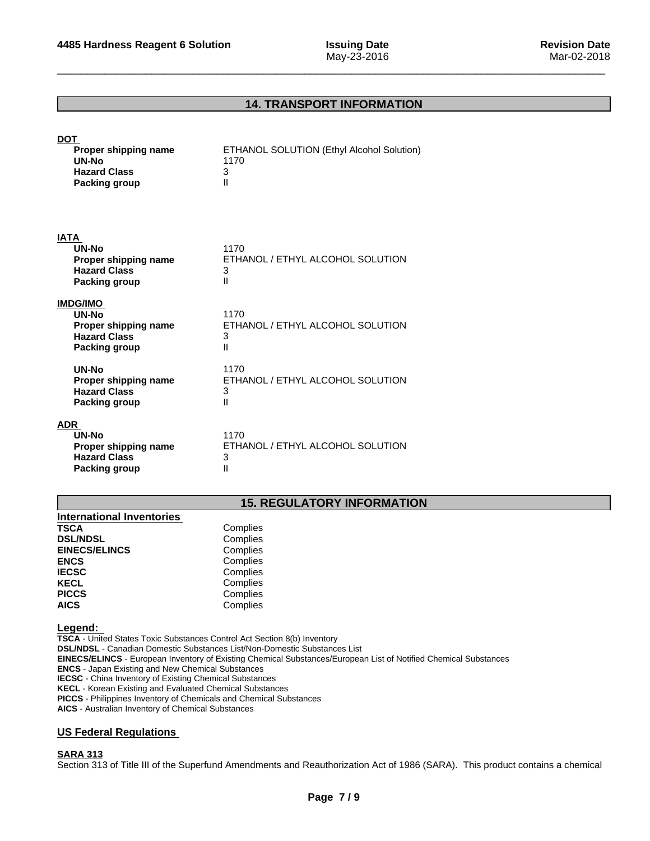# **14. TRANSPORT INFORMATION**

| <b>DOT</b><br>Proper shipping name<br>UN-No<br><b>Hazard Class</b><br><b>Packing group</b> | ETHANOL SOLUTION (Ethyl Alcohol Solution)<br>1170<br>3<br>Ш    |
|--------------------------------------------------------------------------------------------|----------------------------------------------------------------|
| <b>IATA</b><br>UN-No<br>Proper shipping name<br><b>Hazard Class</b><br>Packing group       | 1170<br>ETHANOL / ETHYL ALCOHOL SOLUTION<br>3<br>Ш             |
| <b>IMDG/IMO</b><br>UN-No<br>Proper shipping name<br><b>Hazard Class</b><br>Packing group   | 1170<br>ETHANOL / ETHYL ALCOHOL SOLUTION<br>3<br>Ш             |
| UN-No<br>Proper shipping name<br><b>Hazard Class</b><br><b>Packing group</b>               | 1170<br>ETHANOL / ETHYL ALCOHOL SOLUTION<br>3<br>$\mathsf{II}$ |
| <b>ADR</b><br>UN-No<br>Proper shipping name<br><b>Hazard Class</b><br><b>Packing group</b> | 1170<br>ETHANOL / ETHYL ALCOHOL SOLUTION<br>3<br>Ш             |

# **15. REGULATORY INFORMATION**

| <b>International Inventories</b> |          |  |
|----------------------------------|----------|--|
| <b>TSCA</b>                      | Complies |  |
| <b>DSL/NDSL</b>                  | Complies |  |
| <b>EINECS/ELINCS</b>             | Complies |  |
| <b>ENCS</b>                      | Complies |  |
| <b>IECSC</b>                     | Complies |  |
| <b>KECL</b>                      | Complies |  |
| <b>PICCS</b>                     | Complies |  |
| <b>AICS</b>                      | Complies |  |

#### **Legend:**

**TSCA** - United States Toxic Substances Control Act Section 8(b) Inventory **DSL/NDSL** - Canadian Domestic Substances List/Non-Domestic Substances List **EINECS/ELINCS** - European Inventory of Existing Chemical Substances/European List of Notified Chemical Substances **ENCS** - Japan Existing and New Chemical Substances **IECSC** - China Inventory of Existing Chemical Substances **KECL** - Korean Existing and Evaluated Chemical Substances **PICCS** - Philippines Inventory of Chemicals and Chemical Substances

**AICS** - Australian Inventory of Chemical Substances

# **US Federal Regulations**

#### **SARA 313**

Section 313 of Title III of the Superfund Amendments and Reauthorization Act of 1986 (SARA). This product contains a chemical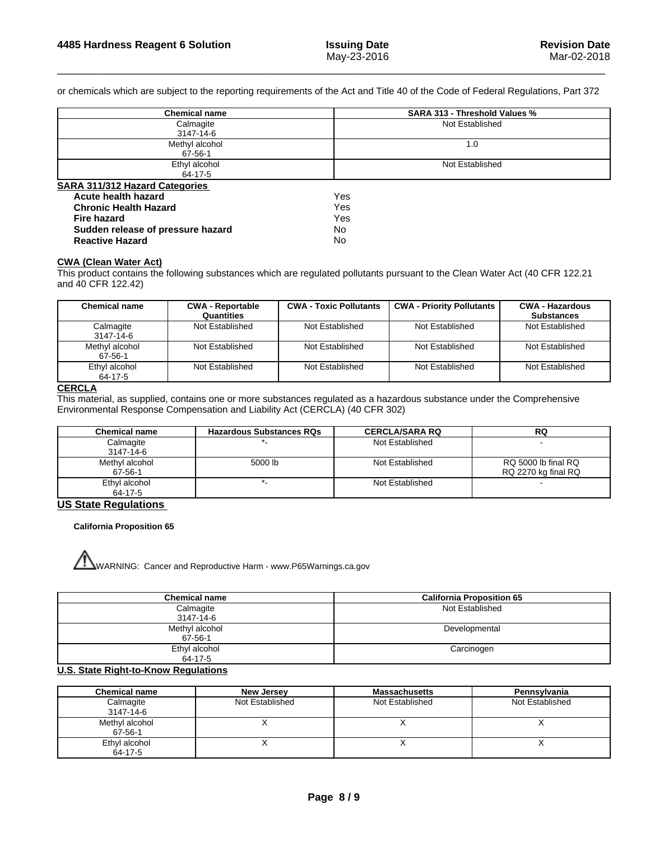or chemicals which are subject to the reporting requirements of the Act and Title 40 of the Code of Federal Regulations, Part 372

| <b>Chemical name</b>                  | <b>SARA 313 - Threshold Values %</b> |  |
|---------------------------------------|--------------------------------------|--|
| Calmagite                             | Not Established                      |  |
| 3147-14-6                             |                                      |  |
| Methyl alcohol                        | 1.0                                  |  |
| 67-56-1                               |                                      |  |
| Ethyl alcohol                         | Not Established                      |  |
| 64-17-5                               |                                      |  |
| <b>SARA 311/312 Hazard Categories</b> |                                      |  |
| Acute health hazard                   | Yes                                  |  |
| <b>Chronic Health Hazard</b>          | Yes                                  |  |
| Fire hazard                           | Yes                                  |  |
| Sudden release of pressure hazard     | No.                                  |  |
| <b>Reactive Hazard</b>                | No                                   |  |

#### **CWA (Clean WaterAct)**

This product contains the following substances which are regulated pollutants pursuant to the Clean Water Act (40 CFR 122.21 and 40 CFR 122.42)

| <b>Chemical name</b>      | <b>CWA - Reportable</b><br>Quantities | <b>CWA - Toxic Pollutants</b> | <b>CWA - Priority Pollutants</b> | <b>CWA - Hazardous</b><br><b>Substances</b> |
|---------------------------|---------------------------------------|-------------------------------|----------------------------------|---------------------------------------------|
| Calmagite<br>3147-14-6    | Not Established                       | Not Established               | Not Established                  | Not Established                             |
| Methyl alcohol<br>67-56-1 | Not Established                       | Not Established               | Not Established                  | Not Established                             |
| Ethyl alcohol<br>64-17-5  | Not Established                       | Not Established               | Not Established                  | Not Established                             |

### **CERCLA**

This material, as supplied, contains one or more substances regulated as a hazardous substance under the Comprehensive Environmental Response Compensation and Liability Act (CERCLA) (40 CFR 302)

| Chemical name  | <b>Hazardous Substances RQs</b> | <b>CERCLA/SARA RQ</b> | <b>RQ</b>           |
|----------------|---------------------------------|-----------------------|---------------------|
| Calmagite      |                                 | Not Established       |                     |
| 3147-14-6      |                                 |                       |                     |
| Methyl alcohol | 5000 lb                         | Not Established       | RQ 5000 lb final RQ |
| 67-56-1        |                                 |                       | RQ 2270 kg final RQ |
| Ethyl alcohol  |                                 | Not Established       |                     |
| 64-17-5        |                                 |                       |                     |

# **US State Regulations**

#### **California Proposition 65**



WWARNING: Cancer and Reproductive Harm - www.P65Warnings.ca.gov

| <b>Chemical name</b> | <b>California Proposition 65</b> |
|----------------------|----------------------------------|
| Calmagite            | Not Established                  |
| 3147-14-6            |                                  |
| Methyl alcohol       | Developmental                    |
| 67-56-1              |                                  |
| Ethyl alcohol        | Carcinogen                       |
| 64-17-5              |                                  |

### **U.S. State Right-to-Know Regulations**

| <b>Chemical name</b>      | <b>New Jersey</b> | Massachusetts   | <b>Pennsylvania</b> |
|---------------------------|-------------------|-----------------|---------------------|
| Calmagite<br>3147-14-6    | Not Established   | Not Established | Not Established     |
| Methyl alcohol<br>67-56-1 |                   |                 |                     |
| Ethyl alcohol<br>64-17-5  |                   |                 |                     |